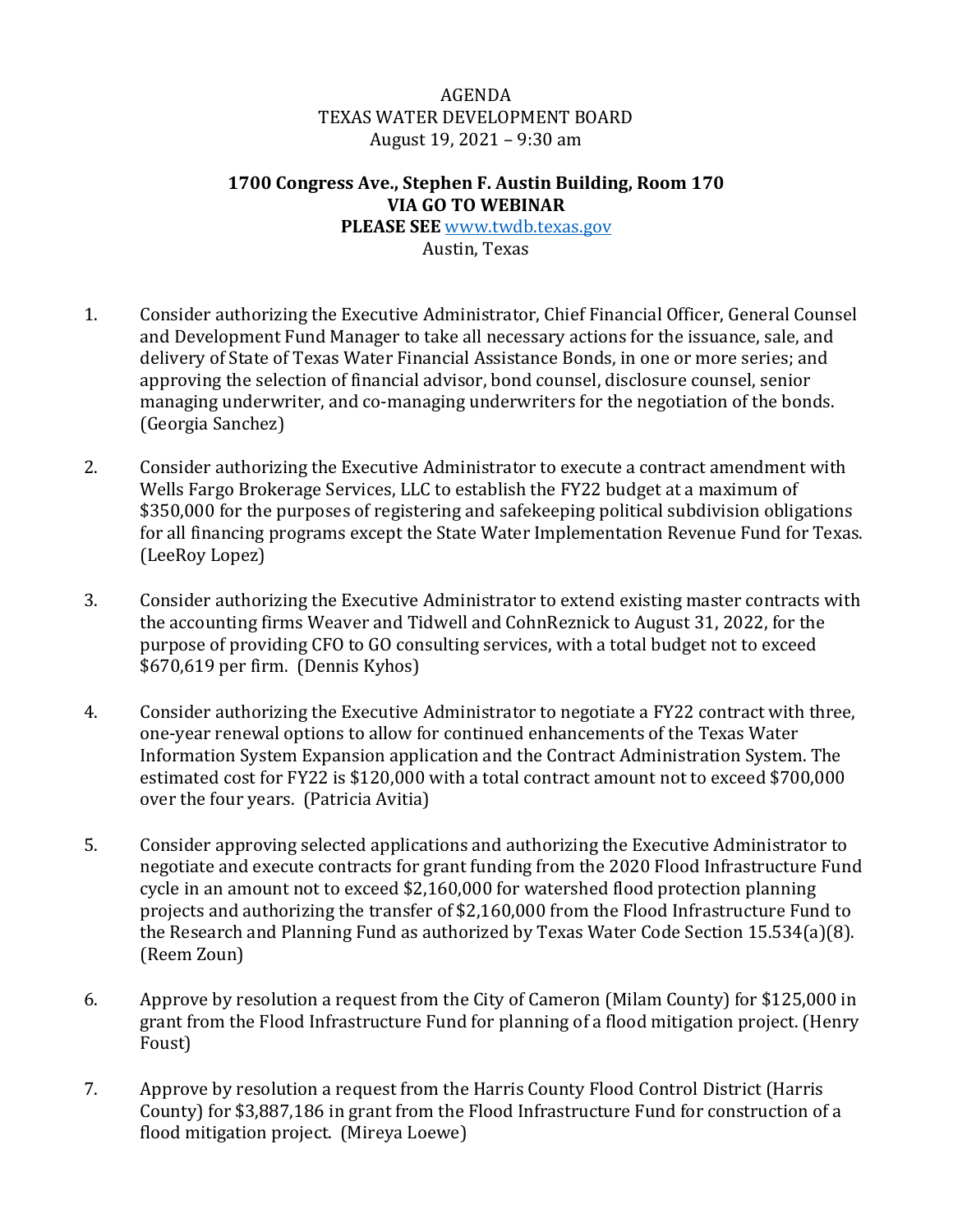## AGENDA TEXAS WATER DEVELOPMENT BOARD August 19, 2021 – 9:30 am

## **1700 Congress Ave., Stephen F. Austin Building, Room 170 VIA GO TO WEBINAR**

**PLEASE SEE** [www.twdb.texas.gov](http://www.twdb.texas.gov/) Austin, Texas

- 1. Consider authorizing the Executive Administrator, Chief Financial Officer, General Counsel and Development Fund Manager to take all necessary actions for the issuance, sale, and delivery of State of Texas Water Financial Assistance Bonds, in one or more series; and approving the selection of financial advisor, bond counsel, disclosure counsel, senior managing underwriter, and co-managing underwriters for the negotiation of the bonds. (Georgia Sanchez)
- 2. Consider authorizing the Executive Administrator to execute a contract amendment with Wells Fargo Brokerage Services, LLC to establish the FY22 budget at a maximum of \$350,000 for the purposes of registering and safekeeping political subdivision obligations for all financing programs except the State Water Implementation Revenue Fund for Texas. (LeeRoy Lopez)
- 3. Consider authorizing the Executive Administrator to extend existing master contracts with the accounting firms Weaver and Tidwell and CohnReznick to August 31, 2022, for the purpose of providing CFO to GO consulting services, with a total budget not to exceed \$670,619 per firm. (Dennis Kyhos)
- 4. Consider authorizing the Executive Administrator to negotiate a FY22 contract with three, one-year renewal options to allow for continued enhancements of the Texas Water Information System Expansion application and the Contract Administration System. The estimated cost for FY22 is \$120,000 with a total contract amount not to exceed \$700,000 over the four years. (Patricia Avitia)
- 5. Consider approving selected applications and authorizing the Executive Administrator to negotiate and execute contracts for grant funding from the 2020 Flood Infrastructure Fund cycle in an amount not to exceed \$2,160,000 for watershed flood protection planning projects and authorizing the transfer of \$2,160,000 from the Flood Infrastructure Fund to the Research and Planning Fund as authorized by Texas Water Code Section 15.534(a)(8). (Reem Zoun)
- 6. Approve by resolution a request from the City of Cameron (Milam County) for \$125,000 in grant from the Flood Infrastructure Fund for planning of a flood mitigation project. (Henry Foust)
- 7. Approve by resolution a request from the Harris County Flood Control District (Harris County) for \$3,887,186 in grant from the Flood Infrastructure Fund for construction of a flood mitigation project. (Mireya Loewe)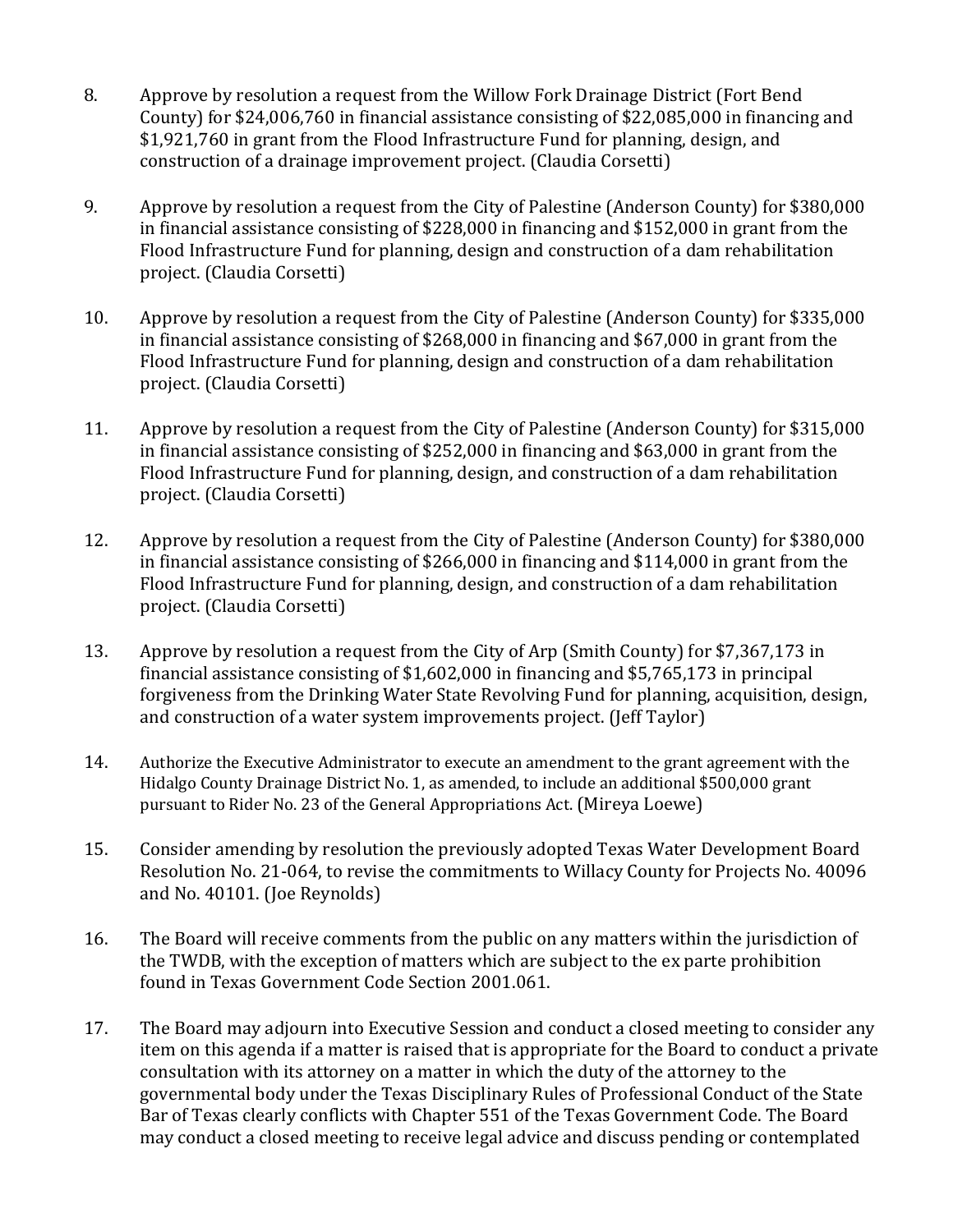- 8. Approve by resolution a request from the Willow Fork Drainage District (Fort Bend County) for \$24,006,760 in financial assistance consisting of \$22,085,000 in financing and \$1,921,760 in grant from the Flood Infrastructure Fund for planning, design, and construction of a drainage improvement project. (Claudia Corsetti)
- 9. Approve by resolution a request from the City of Palestine (Anderson County) for \$380,000 in financial assistance consisting of \$228,000 in financing and \$152,000 in grant from the Flood Infrastructure Fund for planning, design and construction of a dam rehabilitation project. (Claudia Corsetti)
- 10. Approve by resolution a request from the City of Palestine (Anderson County) for \$335,000 in financial assistance consisting of \$268,000 in financing and \$67,000 in grant from the Flood Infrastructure Fund for planning, design and construction of a dam rehabilitation project. (Claudia Corsetti)
- 11. Approve by resolution a request from the City of Palestine (Anderson County) for \$315,000 in financial assistance consisting of \$252,000 in financing and \$63,000 in grant from the Flood Infrastructure Fund for planning, design, and construction of a dam rehabilitation project. (Claudia Corsetti)
- 12. Approve by resolution a request from the City of Palestine (Anderson County) for \$380,000 in financial assistance consisting of \$266,000 in financing and \$114,000 in grant from the Flood Infrastructure Fund for planning, design, and construction of a dam rehabilitation project. (Claudia Corsetti)
- 13. Approve by resolution a request from the City of Arp (Smith County) for \$7,367,173 in financial assistance consisting of \$1,602,000 in financing and \$5,765,173 in principal forgiveness from the Drinking Water State Revolving Fund for planning, acquisition, design, and construction of a water system improvements project. (Jeff Taylor)
- 14. Authorize the Executive Administrator to execute an amendment to the grant agreement with the Hidalgo County Drainage District No. 1, as amended, to include an additional \$500,000 grant pursuant to Rider No. 23 of the General Appropriations Act. (Mireya Loewe)
- 15. Consider amending by resolution the previously adopted Texas Water Development Board Resolution No. 21-064, to revise the commitments to Willacy County for Projects No. 40096 and No. 40101. (Joe Reynolds)
- 16. The Board will receive comments from the public on any matters within the jurisdiction of the TWDB, with the exception of matters which are subject to the ex parte prohibition found in Texas Government Code Section 2001.061.
- 17. The Board may adjourn into Executive Session and conduct a closed meeting to consider any item on this agenda if a matter is raised that is appropriate for the Board to conduct a private consultation with its attorney on a matter in which the duty of the attorney to the governmental body under the Texas Disciplinary Rules of Professional Conduct of the State Bar of Texas clearly conflicts with Chapter 551 of the Texas Government Code. The Board may conduct a closed meeting to receive legal advice and discuss pending or contemplated